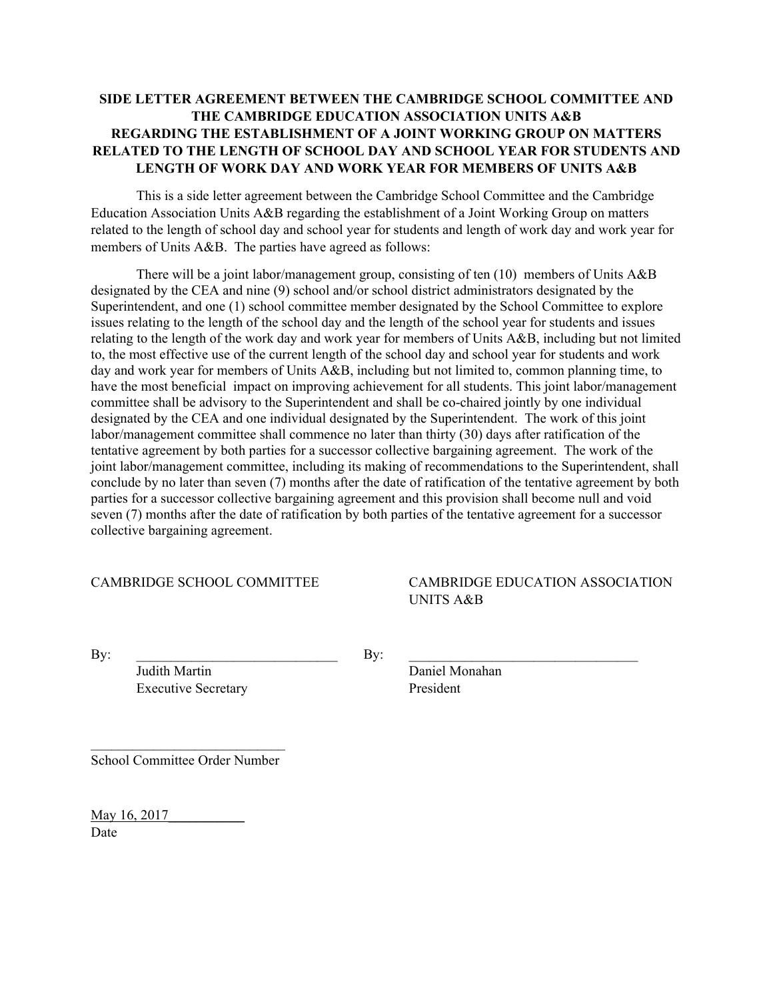# **SIDE LETTER AGREEMENT BETWEEN THE CAMBRIDGE SCHOOL COMMITTEE AND THE CAMBRIDGE EDUCATION ASSOCIATION UNITS A&B REGARDING THE ESTABLISHMENT OF A JOINT WORKING GROUP ON MATTERS RELATED TO THE LENGTH OF SCHOOL DAY AND SCHOOL YEAR FOR STUDENTS AND LENGTH OF WORK DAY AND WORK YEAR FOR MEMBERS OF UNITS A&B**

This is a side letter agreement between the Cambridge School Committee and the Cambridge Education Association Units A&B regarding the establishment of a Joint Working Group on matters related to the length of school day and school year for students and length of work day and work year for members of Units A&B. The parties have agreed as follows:

There will be a joint labor/management group, consisting of ten (10) members of Units A&B designated by the CEA and nine (9) school and/or school district administrators designated by the Superintendent, and one (1) school committee member designated by the School Committee to explore issues relating to the length of the school day and the length of the school year for students and issues relating to the length of the work day and work year for members of Units A&B, including but not limited to, the most effective use of the current length of the school day and school year for students and work day and work year for members of Units A&B, including but not limited to, common planning time, to have the most beneficial impact on improving achievement for all students. This joint labor/management committee shall be advisory to the Superintendent and shall be co-chaired jointly by one individual designated by the CEA and one individual designated by the Superintendent. The work of this joint labor/management committee shall commence no later than thirty (30) days after ratification of the tentative agreement by both parties for a successor collective bargaining agreement. The work of the joint labor/management committee, including its making of recommendations to the Superintendent, shall conclude by no later than seven (7) months after the date of ratification of the tentative agreement by both parties for a successor collective bargaining agreement and this provision shall become null and void seven (7) months after the date of ratification by both parties of the tentative agreement for a successor collective bargaining agreement.

CAMBRIDGE SCHOOL COMMITTEE CAMBRIDGE EDUCATION ASSOCIATION UNITS A&B

By:  $\qquad \qquad \qquad \qquad \qquad \qquad \qquad$  By:

Judith Martin Daniel Monahan Executive Secretary President

 $\mathcal{L}_\text{max}$ School Committee Order Number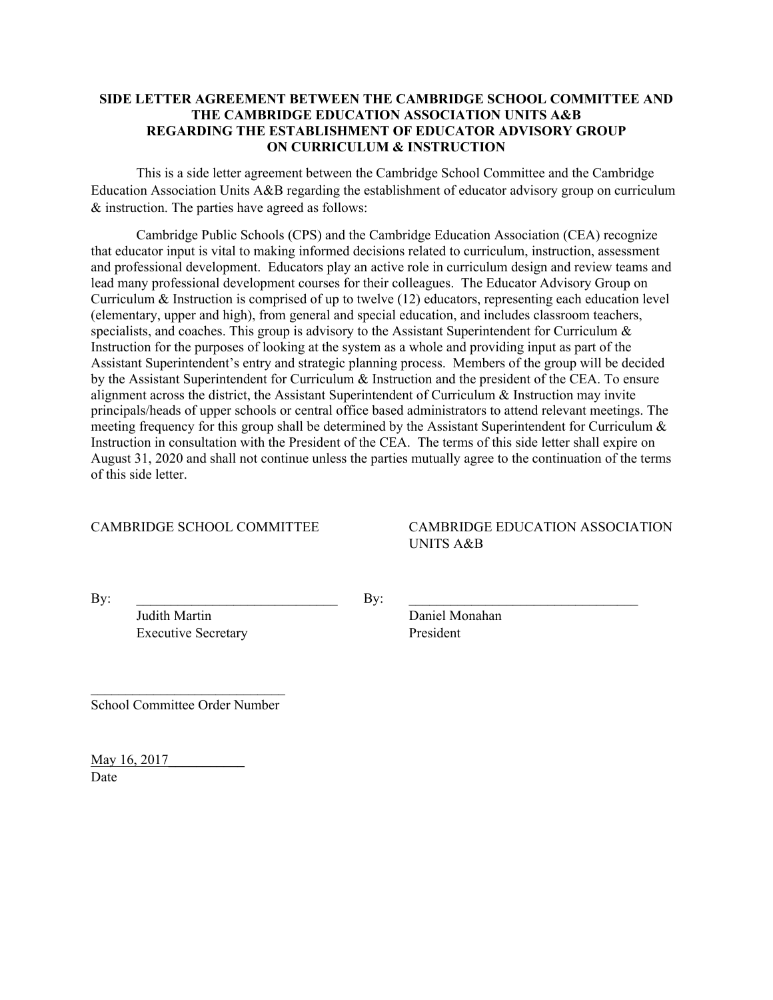### **SIDE LETTER AGREEMENT BETWEEN THE CAMBRIDGE SCHOOL COMMITTEE AND THE CAMBRIDGE EDUCATION ASSOCIATION UNITS A&B REGARDING THE ESTABLISHMENT OF EDUCATOR ADVISORY GROUP ON CURRICULUM & INSTRUCTION**

This is a side letter agreement between the Cambridge School Committee and the Cambridge Education Association Units A&B regarding the establishment of educator advisory group on curriculum & instruction. The parties have agreed as follows:

Cambridge Public Schools (CPS) and the Cambridge Education Association (CEA) recognize that educator input is vital to making informed decisions related to curriculum, instruction, assessment and professional development. Educators play an active role in curriculum design and review teams and lead many professional development courses for their colleagues. The Educator Advisory Group on Curriculum & Instruction is comprised of up to twelve (12) educators, representing each education level (elementary, upper and high), from general and special education, and includes classroom teachers, specialists, and coaches. This group is advisory to the Assistant Superintendent for Curriculum & Instruction for the purposes of looking at the system as a whole and providing input as part of the Assistant Superintendent's entry and strategic planning process. Members of the group will be decided by the Assistant Superintendent for Curriculum & Instruction and the president of the CEA. To ensure alignment across the district, the Assistant Superintendent of Curriculum  $\&$  Instruction may invite principals/heads of upper schools or central office based administrators to attend relevant meetings. The meeting frequency for this group shall be determined by the Assistant Superintendent for Curriculum  $\&$ Instruction in consultation with the President of the CEA. The terms of this side letter shall expire on August 31, 2020 and shall not continue unless the parties mutually agree to the continuation of the terms of this side letter.

# CAMBRIDGE SCHOOL COMMITTEE CAMBRIDGE EDUCATION ASSOCIATION UNITS A&B

 $\mathbf{By:}$ 

Judith Martin Daniel Monahan Executive Secretary President

 $\mathcal{L}_\text{max}$  , where  $\mathcal{L}_\text{max}$  and  $\mathcal{L}_\text{max}$ School Committee Order Number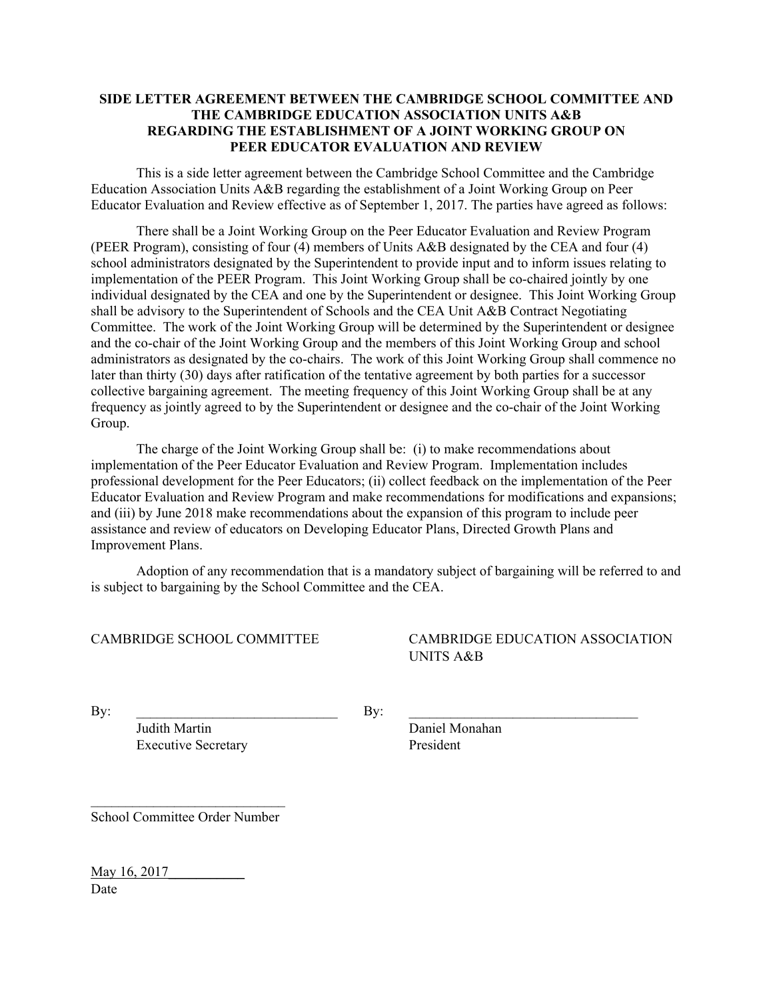### **SIDE LETTER AGREEMENT BETWEEN THE CAMBRIDGE SCHOOL COMMITTEE AND THE CAMBRIDGE EDUCATION ASSOCIATION UNITS A&B REGARDING THE ESTABLISHMENT OF A JOINT WORKING GROUP ON PEER EDUCATOR EVALUATION AND REVIEW**

This is a side letter agreement between the Cambridge School Committee and the Cambridge Education Association Units A&B regarding the establishment of a Joint Working Group on Peer Educator Evaluation and Review effective as of September 1, 2017. The parties have agreed as follows:

There shall be a Joint Working Group on the Peer Educator Evaluation and Review Program (PEER Program), consisting of four (4) members of Units A&B designated by the CEA and four (4) school administrators designated by the Superintendent to provide input and to inform issues relating to implementation of the PEER Program. This Joint Working Group shall be co-chaired jointly by one individual designated by the CEA and one by the Superintendent or designee. This Joint Working Group shall be advisory to the Superintendent of Schools and the CEA Unit A&B Contract Negotiating Committee. The work of the Joint Working Group will be determined by the Superintendent or designee and the co-chair of the Joint Working Group and the members of this Joint Working Group and school administrators as designated by the co-chairs. The work of this Joint Working Group shall commence no later than thirty (30) days after ratification of the tentative agreement by both parties for a successor collective bargaining agreement. The meeting frequency of this Joint Working Group shall be at any frequency as jointly agreed to by the Superintendent or designee and the co-chair of the Joint Working Group.

The charge of the Joint Working Group shall be: (i) to make recommendations about implementation of the Peer Educator Evaluation and Review Program. Implementation includes professional development for the Peer Educators; (ii) collect feedback on the implementation of the Peer Educator Evaluation and Review Program and make recommendations for modifications and expansions; and (iii) by June 2018 make recommendations about the expansion of this program to include peer assistance and review of educators on Developing Educator Plans, Directed Growth Plans and Improvement Plans.

Adoption of any recommendation that is a mandatory subject of bargaining will be referred to and is subject to bargaining by the School Committee and the CEA.

CAMBRIDGE SCHOOL COMMITTEE CAMBRIDGE EDUCATION ASSOCIATION UNITS A&B

 $\mathbf{By:}$ 

Judith Martin Daniel Monahan Executive Secretary President

 $\mathcal{L}_\text{max}$  , where  $\mathcal{L}_\text{max}$  and  $\mathcal{L}_\text{max}$ School Committee Order Number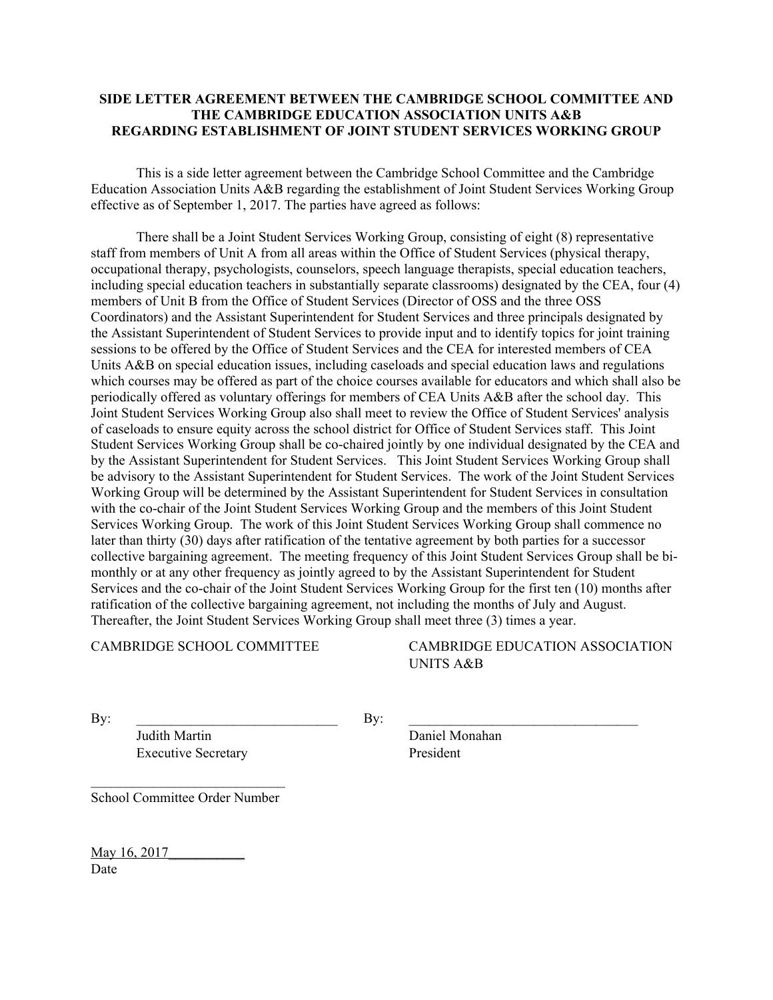# **SIDE LETTER AGREEMENT BETWEEN THE CAMBRIDGE SCHOOL COMMITTEE AND THE CAMBRIDGE EDUCATION ASSOCIATION UNITS A&B REGARDING ESTABLISHMENT OF JOINT STUDENT SERVICES WORKING GROUP**

This is a side letter agreement between the Cambridge School Committee and the Cambridge Education Association Units A&B regarding the establishment of Joint Student Services Working Group effective as of September 1, 2017. The parties have agreed as follows:

There shall be a Joint Student Services Working Group, consisting of eight (8) representative staff from members of Unit A from all areas within the Office of Student Services (physical therapy, occupational therapy, psychologists, counselors, speech language therapists, special education teachers, including special education teachers in substantially separate classrooms) designated by the CEA, four (4) members of Unit B from the Office of Student Services (Director of OSS and the three OSS Coordinators) and the Assistant Superintendent for Student Services and three principals designated by the Assistant Superintendent of Student Services to provide input and to identify topics for joint training sessions to be offered by the Office of Student Services and the CEA for interested members of CEA Units A&B on special education issues, including caseloads and special education laws and regulations which courses may be offered as part of the choice courses available for educators and which shall also be periodically offered as voluntary offerings for members of CEA Units A&B after the school day. This Joint Student Services Working Group also shall meet to review the Office of Student Services' analysis of caseloads to ensure equity across the school district for Office of Student Services staff. This Joint Student Services Working Group shall be co-chaired jointly by one individual designated by the CEA and by the Assistant Superintendent for Student Services. This Joint Student Services Working Group shall be advisory to the Assistant Superintendent for Student Services. The work of the Joint Student Services Working Group will be determined by the Assistant Superintendent for Student Services in consultation with the co-chair of the Joint Student Services Working Group and the members of this Joint Student Services Working Group. The work of this Joint Student Services Working Group shall commence no later than thirty (30) days after ratification of the tentative agreement by both parties for a successor collective bargaining agreement. The meeting frequency of this Joint Student Services Group shall be bimonthly or at any other frequency as jointly agreed to by the Assistant Superintendent for Student Services and the co-chair of the Joint Student Services Working Group for the first ten (10) months after ratification of the collective bargaining agreement, not including the months of July and August. Thereafter, the Joint Student Services Working Group shall meet three (3) times a year.

CAMBRIDGE SCHOOL COMMITTEE CAMBRIDGE EDUCATION ASSOCIATION UNITS A&B

 $\mathbf{By:}$ 

Judith Martin Daniel Monahan Executive Secretary President

 $\mathcal{L}_\text{max}$ School Committee Order Number

May 16, 2017 Date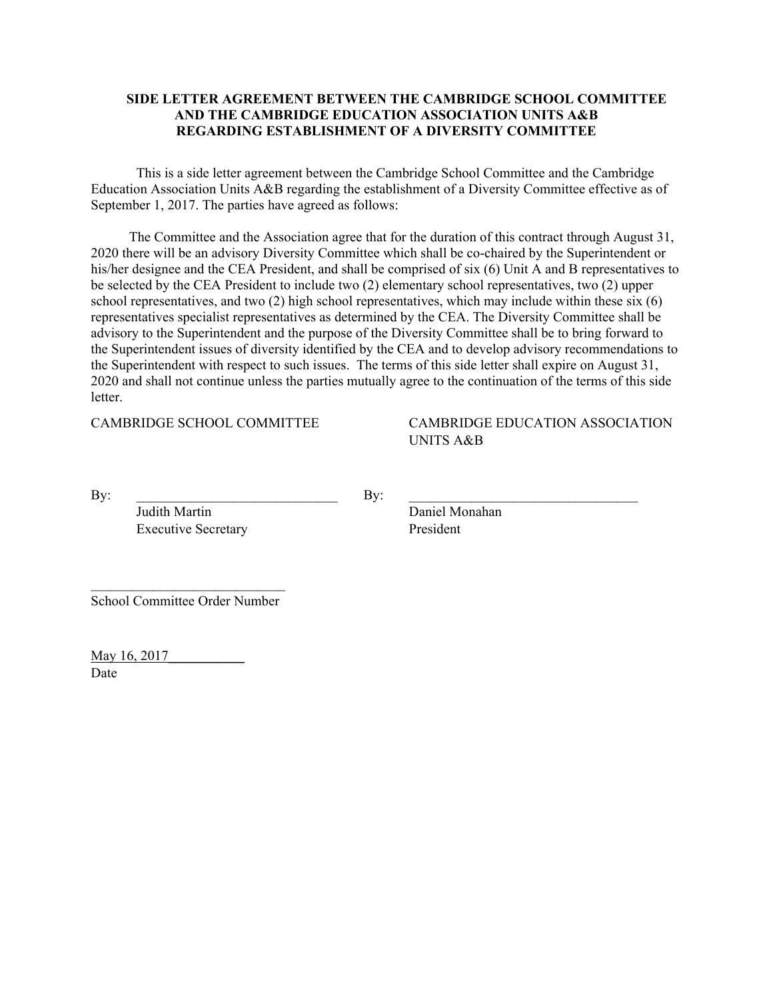### **SIDE LETTER AGREEMENT BETWEEN THE CAMBRIDGE SCHOOL COMMITTEE AND THE CAMBRIDGE EDUCATION ASSOCIATION UNITS A&B REGARDING ESTABLISHMENT OF A DIVERSITY COMMITTEE**

This is a side letter agreement between the Cambridge School Committee and the Cambridge Education Association Units A&B regarding the establishment of a Diversity Committee effective as of September 1, 2017. The parties have agreed as follows:

 The Committee and the Association agree that for the duration of this contract through August 31, 2020 there will be an advisory Diversity Committee which shall be co-chaired by the Superintendent or his/her designee and the CEA President, and shall be comprised of six (6) Unit A and B representatives to be selected by the CEA President to include two (2) elementary school representatives, two (2) upper school representatives, and two (2) high school representatives, which may include within these six (6) representatives specialist representatives as determined by the CEA. The Diversity Committee shall be advisory to the Superintendent and the purpose of the Diversity Committee shall be to bring forward to the Superintendent issues of diversity identified by the CEA and to develop advisory recommendations to the Superintendent with respect to such issues. The terms of this side letter shall expire on August 31, 2020 and shall not continue unless the parties mutually agree to the continuation of the terms of this side letter.

CAMBRIDGE SCHOOL COMMITTEE CAMBRIDGE EDUCATION ASSOCIATION UNITS A&B

 $\mathbf{By:}$ 

Judith Martin Daniel Monahan Executive Secretary President

School Committee Order Number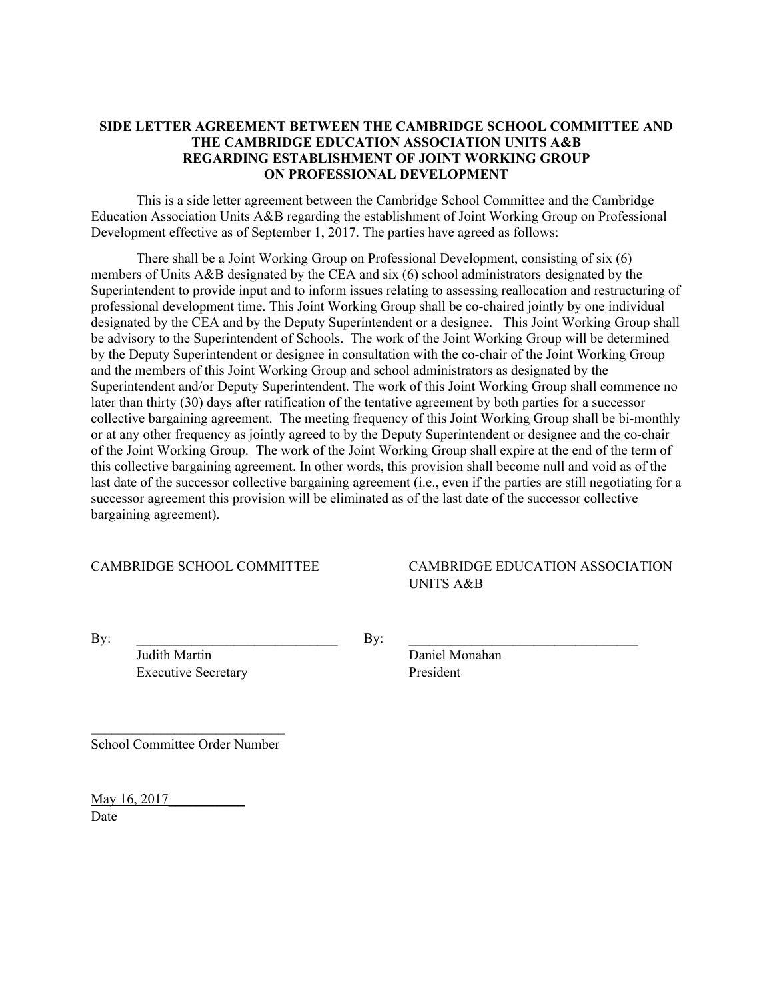### **SIDE LETTER AGREEMENT BETWEEN THE CAMBRIDGE SCHOOL COMMITTEE AND THE CAMBRIDGE EDUCATION ASSOCIATION UNITS A&B REGARDING ESTABLISHMENT OF JOINT WORKING GROUP ON PROFESSIONAL DEVELOPMENT**

This is a side letter agreement between the Cambridge School Committee and the Cambridge Education Association Units A&B regarding the establishment of Joint Working Group on Professional Development effective as of September 1, 2017. The parties have agreed as follows:

There shall be a Joint Working Group on Professional Development, consisting of six (6) members of Units A&B designated by the CEA and six (6) school administrators designated by the Superintendent to provide input and to inform issues relating to assessing reallocation and restructuring of professional development time. This Joint Working Group shall be co-chaired jointly by one individual designated by the CEA and by the Deputy Superintendent or a designee. This Joint Working Group shall be advisory to the Superintendent of Schools. The work of the Joint Working Group will be determined by the Deputy Superintendent or designee in consultation with the co-chair of the Joint Working Group and the members of this Joint Working Group and school administrators as designated by the Superintendent and/or Deputy Superintendent. The work of this Joint Working Group shall commence no later than thirty (30) days after ratification of the tentative agreement by both parties for a successor collective bargaining agreement. The meeting frequency of this Joint Working Group shall be bi-monthly or at any other frequency as jointly agreed to by the Deputy Superintendent or designee and the co-chair of the Joint Working Group. The work of the Joint Working Group shall expire at the end of the term of this collective bargaining agreement. In other words, this provision shall become null and void as of the last date of the successor collective bargaining agreement (i.e., even if the parties are still negotiating for a successor agreement this provision will be eliminated as of the last date of the successor collective bargaining agreement).

CAMBRIDGE SCHOOL COMMITTEE CAMBRIDGE EDUCATION ASSOCIATION UNITS A&B

 $\mathbf{By:}$ 

Judith Martin Daniel Monahan Executive Secretary President

School Committee Order Number

 $\mathcal{L}_\text{max}$ 

May 16, 2017 Date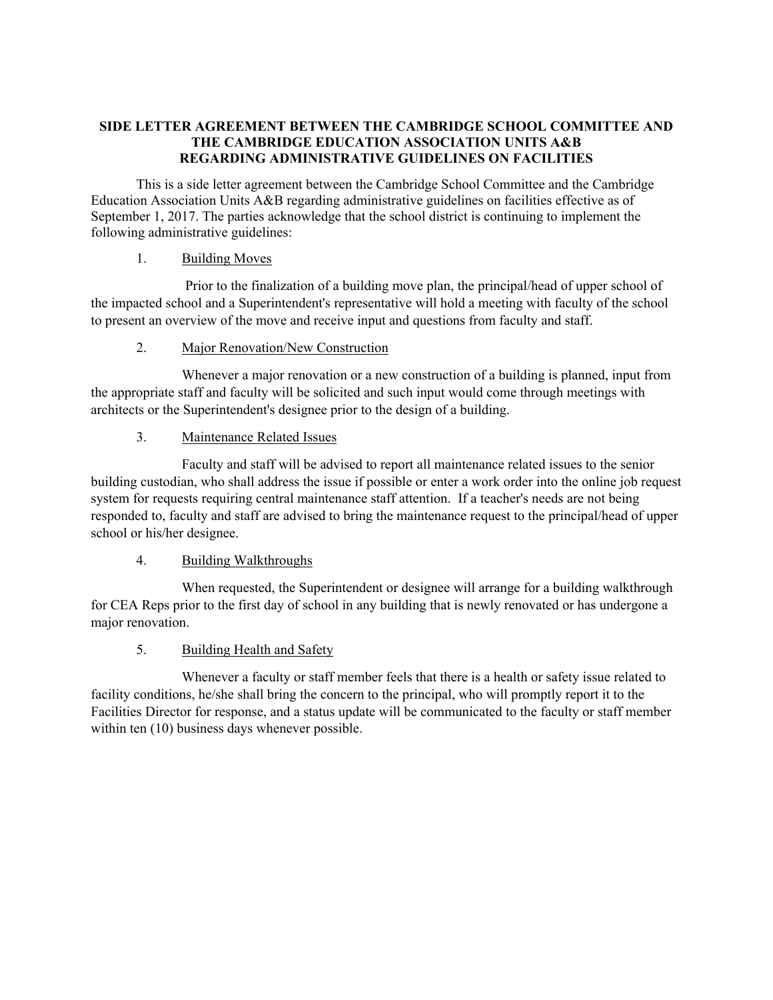# **SIDE LETTER AGREEMENT BETWEEN THE CAMBRIDGE SCHOOL COMMITTEE AND THE CAMBRIDGE EDUCATION ASSOCIATION UNITS A&B REGARDING ADMINISTRATIVE GUIDELINES ON FACILITIES**

This is a side letter agreement between the Cambridge School Committee and the Cambridge Education Association Units A&B regarding administrative guidelines on facilities effective as of September 1, 2017. The parties acknowledge that the school district is continuing to implement the following administrative guidelines:

# 1. Building Moves

 Prior to the finalization of a building move plan, the principal/head of upper school of the impacted school and a Superintendent's representative will hold a meeting with faculty of the school to present an overview of the move and receive input and questions from faculty and staff.

# 2. Major Renovation/New Construction

Whenever a major renovation or a new construction of a building is planned, input from the appropriate staff and faculty will be solicited and such input would come through meetings with architects or the Superintendent's designee prior to the design of a building.

# 3. Maintenance Related Issues

Faculty and staff will be advised to report all maintenance related issues to the senior building custodian, who shall address the issue if possible or enter a work order into the online job request system for requests requiring central maintenance staff attention. If a teacher's needs are not being responded to, faculty and staff are advised to bring the maintenance request to the principal/head of upper school or his/her designee.

# 4. Building Walkthroughs

When requested, the Superintendent or designee will arrange for a building walkthrough for CEA Reps prior to the first day of school in any building that is newly renovated or has undergone a major renovation.

# 5. Building Health and Safety

Whenever a faculty or staff member feels that there is a health or safety issue related to facility conditions, he/she shall bring the concern to the principal, who will promptly report it to the Facilities Director for response, and a status update will be communicated to the faculty or staff member within ten  $(10)$  business days whenever possible.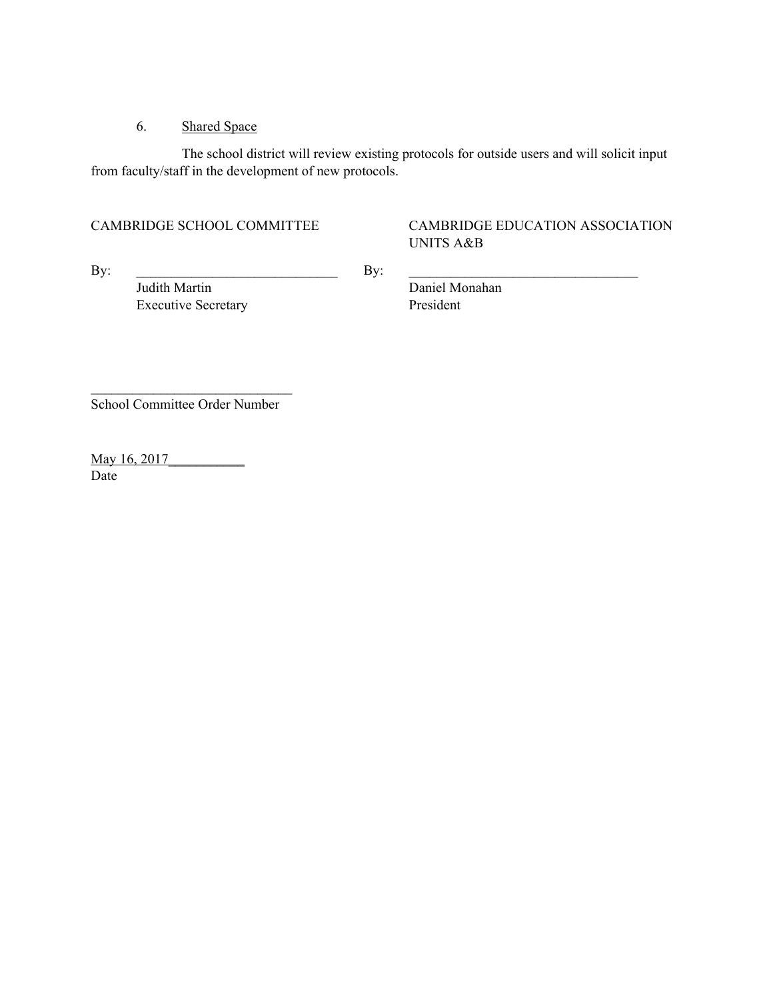# 6. Shared Space

The school district will review existing protocols for outside users and will solicit input from faculty/staff in the development of new protocols.

# CAMBRIDGE SCHOOL COMMITTEE CAMBRIDGE EDUCATION ASSOCIATION UNITS A&B

 $\mathbf{By:}$ 

Judith Martin Daniel Monahan Executive Secretary President

 $\mathcal{L}_\text{max}$ School Committee Order Number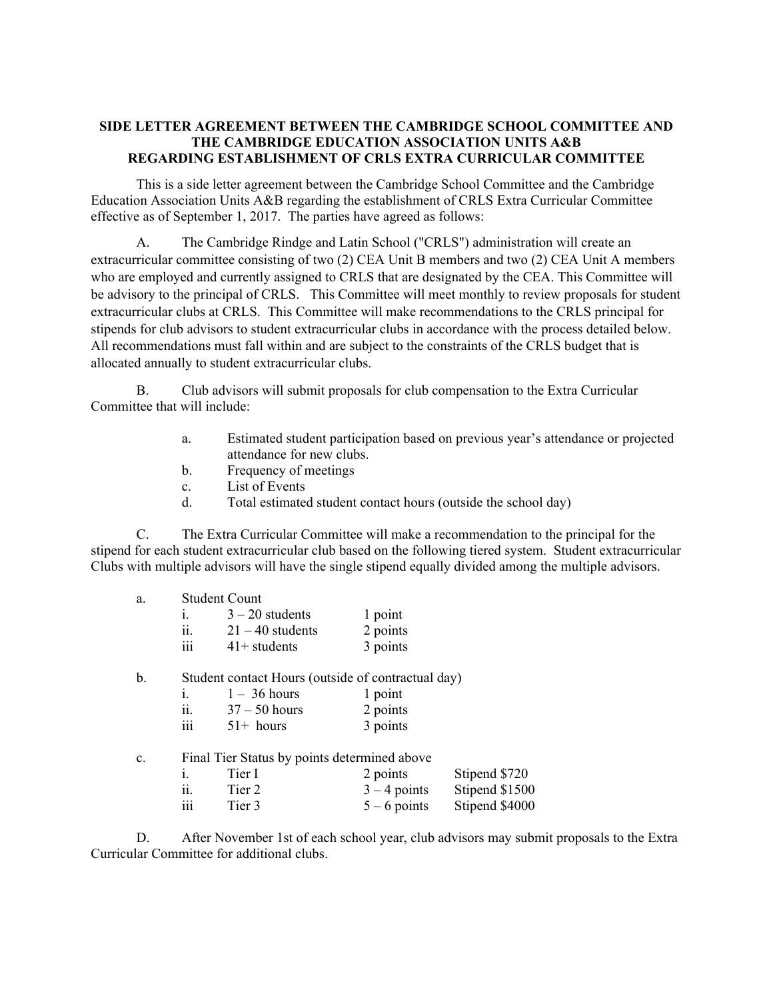# **SIDE LETTER AGREEMENT BETWEEN THE CAMBRIDGE SCHOOL COMMITTEE AND THE CAMBRIDGE EDUCATION ASSOCIATION UNITS A&B REGARDING ESTABLISHMENT OF CRLS EXTRA CURRICULAR COMMITTEE**

This is a side letter agreement between the Cambridge School Committee and the Cambridge Education Association Units A&B regarding the establishment of CRLS Extra Curricular Committee effective as of September 1, 2017. The parties have agreed as follows:

A. The Cambridge Rindge and Latin School ("CRLS") administration will create an extracurricular committee consisting of two (2) CEA Unit B members and two (2) CEA Unit A members who are employed and currently assigned to CRLS that are designated by the CEA. This Committee will be advisory to the principal of CRLS. This Committee will meet monthly to review proposals for student extracurricular clubs at CRLS. This Committee will make recommendations to the CRLS principal for stipends for club advisors to student extracurricular clubs in accordance with the process detailed below. All recommendations must fall within and are subject to the constraints of the CRLS budget that is allocated annually to student extracurricular clubs.

B. Club advisors will submit proposals for club compensation to the Extra Curricular Committee that will include:

- a. Estimated student participation based on previous year's attendance or projected attendance for new clubs.
- b. Frequency of meetings
- c. List of Events
- d. Total estimated student contact hours (outside the school day)

C. The Extra Curricular Committee will make a recommendation to the principal for the stipend for each student extracurricular club based on the following tiered system. Student extracurricular Clubs with multiple advisors will have the single stipend equally divided among the multiple advisors.

| a. | <b>Student Count</b>                               |                    |                |                |
|----|----------------------------------------------------|--------------------|----------------|----------------|
|    | $\mathbf{1}$ .                                     | $3 - 20$ students  | 1 point        |                |
|    | $\overline{\mathbf{11}}$ .                         | $21 - 40$ students | 2 points       |                |
|    | iii                                                | $41+$ students     | 3 points       |                |
| b. | Student contact Hours (outside of contractual day) |                    |                |                |
|    | i.                                                 | $1 - 36$ hours     | 1 point        |                |
|    | ii.                                                | $37 - 50$ hours    | 2 points       |                |
|    | iii                                                | $51+$ hours        | 3 points       |                |
| c. | Final Tier Status by points determined above       |                    |                |                |
|    | $\mathbf{1}$                                       | Tier I             | 2 points       | Stipend \$720  |
|    | ii.                                                | Tier 2             | $3 - 4$ points | Stipend \$1500 |
|    | .<br>111                                           | Tier 3             | $5 - 6$ points | Stipend \$4000 |

D. After November 1st of each school year, club advisors may submit proposals to the Extra Curricular Committee for additional clubs.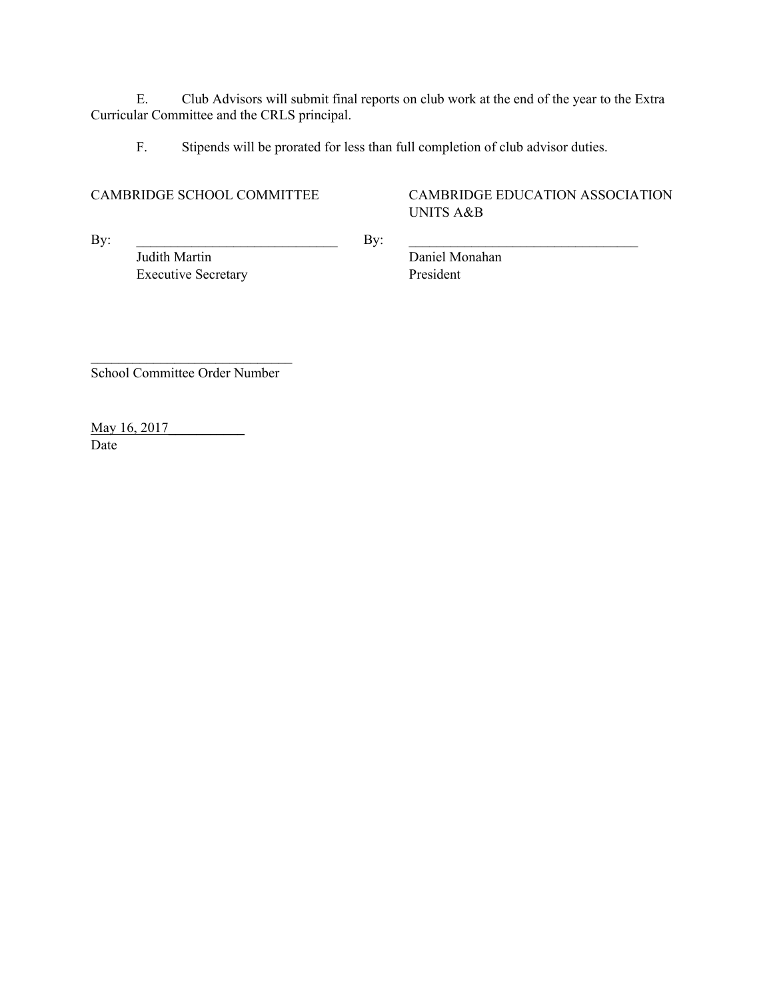E. Club Advisors will submit final reports on club work at the end of the year to the Extra Curricular Committee and the CRLS principal.

F. Stipends will be prorated for less than full completion of club advisor duties.

CAMBRIDGE SCHOOL COMMITTEE CAMBRIDGE EDUCATION ASSOCIATION UNITS A&B

 $\mathbf{By:}$ Judith Martin Daniel Monahan Executive Secretary President

 $\mathcal{L}_\text{max}$ School Committee Order Number